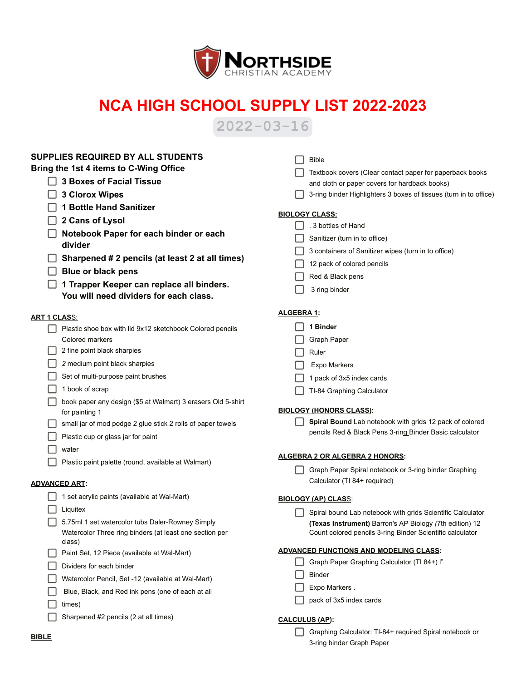

## **NCA HIGH SCHOOL SUPPLY LIST 2022-2023**

**2022-03-16**

| SUPPLIES REQUIRED BY ALL STUDENTS                                            | <b>Bible</b>                                                      |
|------------------------------------------------------------------------------|-------------------------------------------------------------------|
| Bring the 1st 4 items to C-Wing Office                                       | Textbook covers (Clear contact paper for paperback books          |
| <b>3 Boxes of Facial Tissue</b>                                              | and cloth or paper covers for hardback books)                     |
| <b>3 Clorox Wipes</b>                                                        | 3-ring binder Highlighters 3 boxes of tissues (turn in to office) |
| <b>1 Bottle Hand Sanitizer</b>                                               |                                                                   |
| 2 Cans of Lysol                                                              | <b>BIOLOGY CLASS:</b>                                             |
| Notebook Paper for each binder or each                                       | 3 bottles of Hand                                                 |
| divider                                                                      | Sanitizer (turn in to office)                                     |
| Sharpened # 2 pencils (at least 2 at all times)                              | 3 containers of Sanitizer wipes (turn in to office)               |
| <b>Blue or black pens</b>                                                    | 12 pack of colored pencils                                        |
| 1 Trapper Keeper can replace all binders.                                    | Red & Black pens                                                  |
| You will need dividers for each class.                                       | 3 ring binder                                                     |
|                                                                              | <b>ALGEBRA 1:</b>                                                 |
| <b>ART 1 CLASS:</b>                                                          | 1 Binder                                                          |
| Plastic shoe box with lid 9x12 sketchbook Colored pencils<br>Colored markers |                                                                   |
| 2 fine point black sharpies                                                  | <b>Graph Paper</b>                                                |
| 2 medium point black sharpies                                                | Ruler                                                             |
| Set of multi-purpose paint brushes                                           | Expo Markers                                                      |
| 1 book of scrap                                                              | 1 pack of 3x5 index cards                                         |
| book paper any design (\$5 at Walmart) 3 erasers Old 5-shirt                 | TI-84 Graphing Calculator                                         |
| for painting 1                                                               | <b>BIOLOGY (HONORS CLASS):</b>                                    |
| small jar of mod podge 2 glue stick 2 rolls of paper towels                  | Spiral Bound Lab notebook with grids 12 pack of colored           |
| Plastic cup or glass jar for paint                                           | pencils Red & Black Pens 3-ring Binder Basic calculator           |
| water                                                                        |                                                                   |
| Plastic paint palette (round, available at Walmart)                          | ALGEBRA 2 OR ALGEBRA 2 HONORS:                                    |
|                                                                              | Graph Paper Spiral notebook or 3-ring binder Graphing             |
| <b>ADVANCED ART:</b>                                                         | Calculator (TI 84+ required)                                      |
| 1 set acrylic paints (available at Wal-Mart)                                 | <b>BIOLOGY (AP) CLASS:</b>                                        |
| Liquitex                                                                     | Spiral bound Lab notebook with grids Scientific Calculator        |
| 5.75ml 1 set watercolor tubs Daler-Rowney Simply                             | (Texas Instrument) Barron's AP Biology (7th edition) 12           |
| Watercolor Three ring binders (at least one section per<br>class)            | Count colored pencils 3-ring Binder Scientific calculator         |
| Paint Set, 12 Piece (available at Wal-Mart)                                  | <b>ADVANCED FUNCTIONS AND MODELING CLASS:</b>                     |
| Dividers for each binder                                                     | Graph Paper Graphing Calculator (TI 84+) I"                       |
| Watercolor Pencil, Set -12 (available at Wal-Mart)                           | <b>Binder</b>                                                     |
| Blue, Black, and Red ink pens (one of each at all                            | Expo Markers.                                                     |
| times)                                                                       | pack of 3x5 index cards                                           |
| Sharpened #2 pencils (2 at all times)                                        | <b>CALCULUS (AP):</b>                                             |
|                                                                              | Graphing Calculator: TI-84+ required Spiral notebook or           |
| <b>BIBLE</b>                                                                 | 3-ring binder Graph Paper                                         |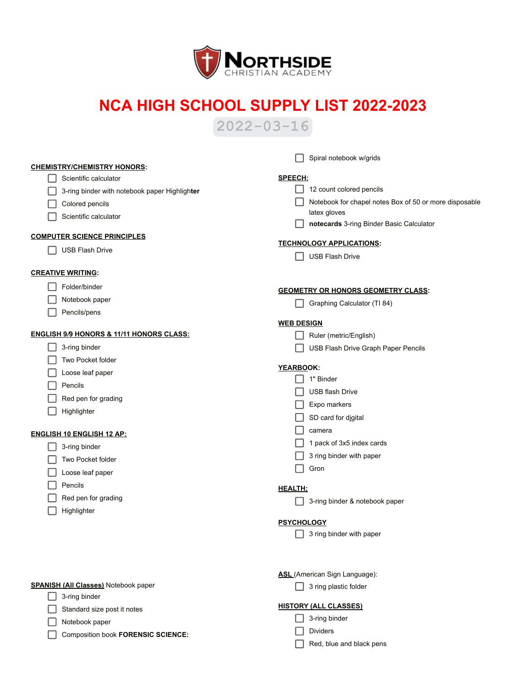

## **NCA HIGH SCHOOL SUPPLY LIST 2022-2023**

**2022-03-16**

|                                                     | Spiral notebook w/grids                                |
|-----------------------------------------------------|--------------------------------------------------------|
| <b>CHEMISTRY/CHEMISTRY HONORS:</b>                  |                                                        |
| Scientific calculator                               | <b>SPEECH:</b>                                         |
| 3-ring binder with notebook paper Highlighter       | 12 count colored pencils                               |
| Colored pencils                                     | Notebook for chapel notes Box of 50 or more disposable |
| Scientific calculator                               | latex gloves                                           |
|                                                     | notecards 3-ring Binder Basic Calculator               |
| <b>COMPUTER SCIENCE PRINCIPLES</b>                  | <b>TECHNOLOGY APPLICATIONS:</b>                        |
| <b>USB Flash Drive</b>                              | <b>USB Flash Drive</b>                                 |
| <b>CREATIVE WRITING:</b>                            |                                                        |
| Folder/binder                                       |                                                        |
|                                                     | <b>GEOMETRY OR HONORS GEOMETRY CLASS:</b>              |
| Notebook paper                                      | Graphing Calculator (TI 84)                            |
| Pencils/pens                                        | <b>WEB DESIGN</b>                                      |
| <b>ENGLISH 9/9 HONORS &amp; 11/11 HONORS CLASS:</b> | Ruler (metric/English)                                 |
| 3-ring binder                                       | USB Flash Drive Graph Paper Pencils                    |
| Two Pocket folder                                   |                                                        |
| Loose leaf paper                                    | YEARBOOK:                                              |
| Pencils                                             | 1" Binder                                              |
| Red pen for grading                                 | <b>USB flash Drive</b>                                 |
| Highlighter                                         | Expo markers                                           |
|                                                     | SD card for digital                                    |
| <b>ENGLISH 10 ENGLISH 12 AP:</b>                    | camera                                                 |
| 3-ring binder                                       | 1 pack of 3x5 index cards                              |
| Two Pocket folder                                   | 3 ring binder with paper                               |
| Loose leaf paper                                    | Gron                                                   |
| Pencils                                             |                                                        |
| Red pen for grading                                 | <b>HEALTH;</b>                                         |
| Highlighter                                         | 3-ring binder & notebook paper                         |
|                                                     | <b>PSYCHOLOGY</b>                                      |
|                                                     | 3 ring binder with paper                               |
|                                                     |                                                        |
|                                                     |                                                        |
|                                                     | ASL (American Sign Language):                          |
| <b>SPANISH (All Classes)</b> Notebook paper         | 3 ring plastic folder                                  |
| 3-ring binder                                       |                                                        |
| Standard size post it notes                         | <b>HISTORY (ALL CLASSES)</b>                           |
| Notebook paper                                      | 3-ring binder                                          |
| Composition book FORENSIC SCIENCE:                  | <b>Dividers</b>                                        |
|                                                     | Red, blue and black pens                               |